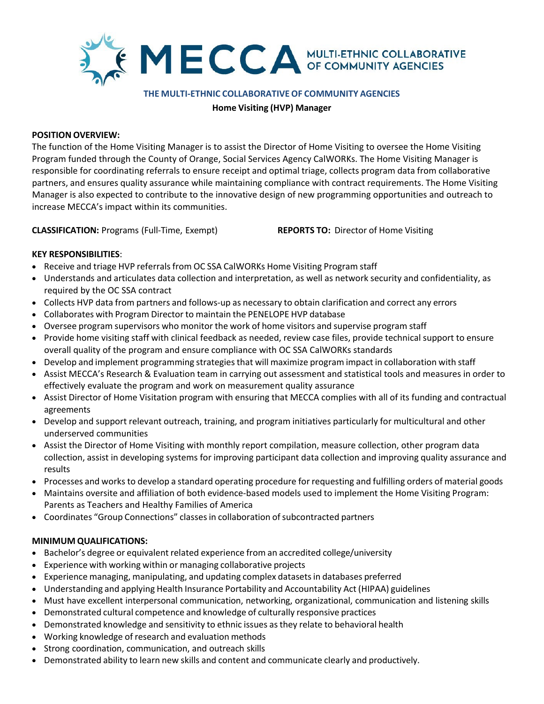

#### **THE MULTI-ETHNIC COLLABORATIVEOF COMMUNITY AGENCIES**

**Home Visiting (HVP) Manager**

#### **POSITION OVERVIEW:**

The function of the Home Visiting Manager is to assist the Director of Home Visiting to oversee the Home Visiting Program funded through the County of Orange, Social Services Agency CalWORKs. The Home Visiting Manager is responsible for coordinating referrals to ensure receipt and optimal triage, collects program data from collaborative partners, and ensures quality assurance while maintaining compliance with contract requirements. The Home Visiting Manager is also expected to contribute to the innovative design of new programming opportunities and outreach to increase MECCA's impact within its communities.

**CLASSIFICATION:** Programs (Full-Time, Exempt) **REPORTS TO:** Director of Home Visiting

# **KEY RESPONSIBILITIES**:

- Receive and triage HVP referrals from OC SSA CalWORKs Home Visiting Program staff
- Understands and articulates data collection and interpretation, as well as network security and confidentiality, as required by the OC SSA contract
- Collects HVP data from partners and follows-up as necessary to obtain clarification and correct any errors
- Collaborates with Program Director to maintain the PENELOPE HVP database
- Oversee program supervisors who monitor the work of home visitors and supervise program staff
- Provide home visiting staff with clinical feedback as needed, review case files, provide technical support to ensure overall quality of the program and ensure compliance with OC SSA CalWORKs standards
- Develop and implement programming strategies that will maximize program impact in collaboration with staff
- Assist MECCA's Research & Evaluation team in carrying out assessment and statistical tools and measures in order to effectively evaluate the program and work on measurement quality assurance
- Assist Director of Home Visitation program with ensuring that MECCA complies with all of its funding and contractual agreements
- Develop and support relevant outreach, training, and program initiatives particularly for multicultural and other underserved communities
- Assist the Director of Home Visiting with monthly report compilation, measure collection, other program data collection, assist in developing systems for improving participant data collection and improving quality assurance and results
- Processes and works to develop a standard operating procedure for requesting and fulfilling orders of material goods
- Maintains oversite and affiliation of both evidence-based models used to implement the Home Visiting Program: Parents as Teachers and Healthy Families of America
- Coordinates "Group Connections" classes in collaboration of subcontracted partners

## **MINIMUM QUALIFICATIONS:**

- Bachelor's degree or equivalent related experience from an accredited college/university
- Experience with working within or managing collaborative projects
- Experience managing, manipulating, and updating complex datasets in databases preferred
- Understanding and applying Health Insurance Portability and Accountability Act (HIPAA) guidelines
- Must have excellent interpersonal communication, networking, organizational, communication and listening skills
- Demonstrated cultural competence and knowledge of culturally responsive practices
- Demonstrated knowledge and sensitivity to ethnic issues as they relate to behavioral health
- Working knowledge of research and evaluation methods
- Strong coordination, communication, and outreach skills
- Demonstrated ability to learn new skills and content and communicate clearly and productively.